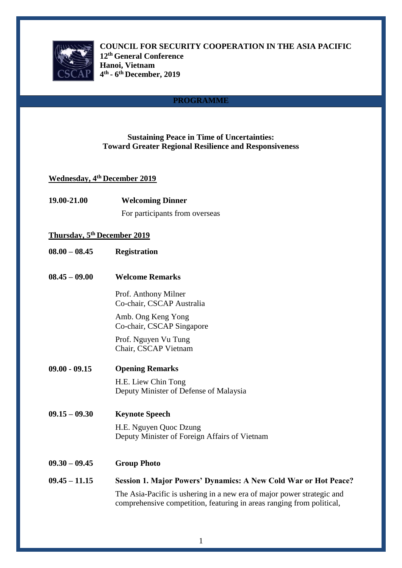

**COUNCIL FOR SECURITY COOPERATION IN THE ASIA PACIFIC 12th General Conference Hanoi, Vietnam 4 th - 6 th December, 2019**

# **PROGRAMME**

# **Sustaining Peace in Time of Uncertainties: Toward Greater Regional Resilience and Responsiveness**

# **Wednesday, 4th December 2019**

| 19.00-21.00                        | <b>Welcoming Dinner</b>                                                                                                                                                                                                   |
|------------------------------------|---------------------------------------------------------------------------------------------------------------------------------------------------------------------------------------------------------------------------|
|                                    | For participants from overseas                                                                                                                                                                                            |
| <b>Thursday, 5th December 2019</b> |                                                                                                                                                                                                                           |
| $08.00 - 08.45$                    | <b>Registration</b>                                                                                                                                                                                                       |
| $08.45 - 09.00$                    | <b>Welcome Remarks</b>                                                                                                                                                                                                    |
|                                    | Prof. Anthony Milner<br>Co-chair, CSCAP Australia                                                                                                                                                                         |
|                                    | Amb. Ong Keng Yong<br>Co-chair, CSCAP Singapore                                                                                                                                                                           |
|                                    | Prof. Nguyen Vu Tung<br>Chair, CSCAP Vietnam                                                                                                                                                                              |
| $09.00 - 09.15$                    | <b>Opening Remarks</b>                                                                                                                                                                                                    |
|                                    | H.E. Liew Chin Tong<br>Deputy Minister of Defense of Malaysia                                                                                                                                                             |
| $09.15 - 09.30$                    | <b>Keynote Speech</b>                                                                                                                                                                                                     |
|                                    | H.E. Nguyen Quoc Dzung<br>Deputy Minister of Foreign Affairs of Vietnam                                                                                                                                                   |
| $09.30 - 09.45$                    | <b>Group Photo</b>                                                                                                                                                                                                        |
| $09.45 - 11.15$                    | <b>Session 1. Major Powers' Dynamics: A New Cold War or Hot Peace?</b><br>The Asia-Pacific is ushering in a new era of major power strategic and<br>comprehensive competition, featuring in areas ranging from political, |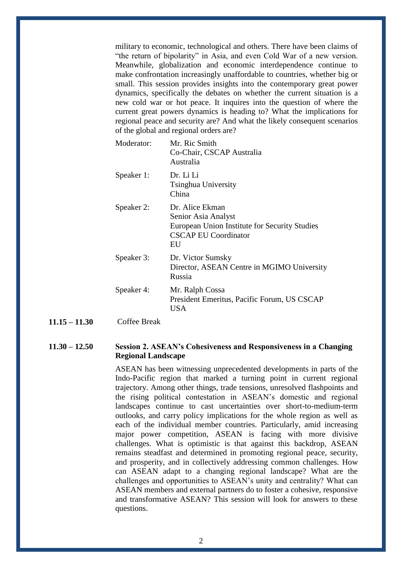military to economic, technological and others. There have been claims of "the return of bipolarity" in Asia, and even Cold War of a new version. Meanwhile, globalization and economic interdependence continue to make confrontation increasingly unaffordable to countries, whether big or small. This session provides insights into the contemporary great power dynamics, specifically the debates on whether the current situation is a new cold war or hot peace. It inquires into the question of where the current great powers dynamics is heading to? What the implications for regional peace and security are? And what the likely consequent scenarios of the global and regional orders are?

| Moderator: | Mr. Ric Smith<br>Co-Chair, CSCAP Australia<br>Australia                                                                      |
|------------|------------------------------------------------------------------------------------------------------------------------------|
| Speaker 1: | Dr. Li Li<br>Tsinghua University<br>China                                                                                    |
| Speaker 2: | Dr. Alice Ekman<br>Senior Asia Analyst<br>European Union Institute for Security Studies<br><b>CSCAP EU Coordinator</b><br>EU |
| Speaker 3: | Dr. Victor Sumsky<br>Director, ASEAN Centre in MGIMO University<br>Russia                                                    |
| Speaker 4: | Mr. Ralph Cossa<br>President Emeritus, Pacific Forum, US CSCAP<br>USA                                                        |

**11.15 – 11.30** Coffee Break

### **11.30 – 12.50 Session 2. ASEAN's Cohesiveness and Responsiveness in a Changing Regional Landscape**

ASEAN has been witnessing unprecedented developments in parts of the Indo-Pacific region that marked a turning point in current regional trajectory. Among other things, trade tensions, unresolved flashpoints and the rising political contestation in ASEAN's domestic and regional landscapes continue to cast uncertainties over short-to-medium-term outlooks, and carry policy implications for the whole region as well as each of the individual member countries. Particularly, amid increasing major power competition, ASEAN is facing with more divisive challenges. What is optimistic is that against this backdrop, ASEAN remains steadfast and determined in promoting regional peace, security, and prosperity, and in collectively addressing common challenges. How can ASEAN adapt to a changing regional landscape? What are the challenges and opportunities to ASEAN's unity and centrality? What can ASEAN members and external partners do to foster a cohesive, responsive and transformative ASEAN? This session will look for answers to these questions.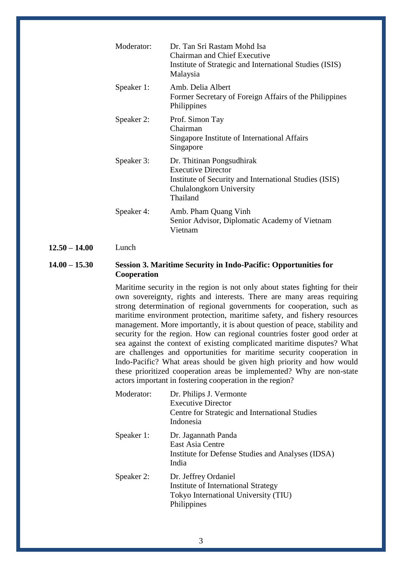| Moderator: | Dr. Tan Sri Rastam Mohd Isa<br><b>Chairman and Chief Executive</b><br>Institute of Strategic and International Studies (ISIS)<br>Malaysia                |
|------------|----------------------------------------------------------------------------------------------------------------------------------------------------------|
| Speaker 1: | Amb. Delia Albert<br>Former Secretary of Foreign Affairs of the Philippines<br>Philippines                                                               |
| Speaker 2: | Prof. Simon Tay<br>Chairman<br>Singapore Institute of International Affairs<br>Singapore                                                                 |
| Speaker 3: | Dr. Thitinan Pongsudhirak<br><b>Executive Director</b><br>Institute of Security and International Studies (ISIS)<br>Chulalongkorn University<br>Thailand |
| Speaker 4: | Amb. Pham Quang Vinh<br>Senior Advisor, Diplomatic Academy of Vietnam<br>Vietnam                                                                         |

## **12.50 – 14.00** Lunch

# **14.00 – 15.30 Session 3. Maritime Security in Indo-Pacific: Opportunities for Cooperation**

Maritime security in the region is not only about states fighting for their own sovereignty, rights and interests. There are many areas requiring strong determination of regional governments for cooperation, such as maritime environment protection, maritime safety, and fishery resources management. More importantly, it is about question of peace, stability and security for the region. How can regional countries foster good order at sea against the context of existing complicated maritime disputes? What are challenges and opportunities for maritime security cooperation in Indo-Pacific? What areas should be given high priority and how would these prioritized cooperation areas be implemented? Why are non-state actors important in fostering cooperation in the region?

| Moderator: | Dr. Philips J. Vermonte<br><b>Executive Director</b>                                                               |
|------------|--------------------------------------------------------------------------------------------------------------------|
|            | Centre for Strategic and International Studies<br>Indonesia                                                        |
| Speaker 1: | Dr. Jagannath Panda<br>East Asia Centre<br>Institute for Defense Studies and Analyses (IDSA)<br>India              |
| Speaker 2: | Dr. Jeffrey Ordaniel<br>Institute of International Strategy<br>Tokyo International University (TIU)<br>Philippines |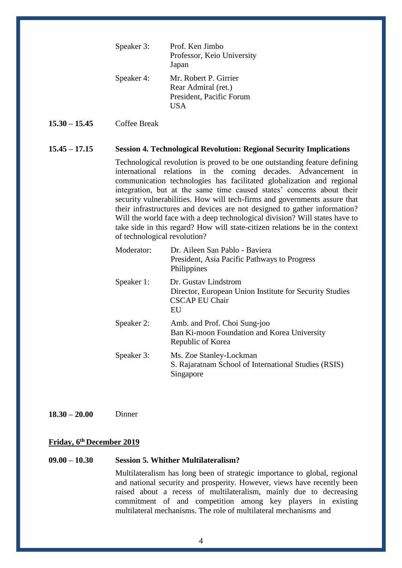| Speaker 3: | Prof. Ken Jimbo<br>Professor, Keio University<br>Japan                             |
|------------|------------------------------------------------------------------------------------|
| Speaker 4: | Mr. Robert P. Girrier<br>Rear Admiral (ret.)<br>President, Pacific Forum<br>I IS A |

#### **15.30 – 15.45** Coffee Break

#### **15.45 – 17.15 Session 4. Technological Revolution: Regional Security Implications**

Technological revolution is proved to be one outstanding feature defining international relations in the coming decades. Advancement in communication technologies has facilitated globalization and regional integration, but at the same time caused states' concerns about their security vulnerabilities. How will tech-firms and governments assure that their infrastructures and devices are not designed to gather information? Will the world face with a deep technological division? Will states have to take side in this regard? How will state-citizen relations be in the context of technological revolution?

| Moderator: | Dr. Aileen San Pablo - Baviera<br>President, Asia Pacific Pathways to Progress<br>Philippines                  |
|------------|----------------------------------------------------------------------------------------------------------------|
| Speaker 1: | Dr. Gustav Lindstrom<br>Director, European Union Institute for Security Studies<br><b>CSCAP EU Chair</b><br>EU |
| Speaker 2: | Amb. and Prof. Choi Sung-joo<br>Ban Ki-moon Foundation and Korea University<br>Republic of Korea               |
| Speaker 3: | Ms. Zoe Stanley-Lockman<br>S. Rajaratnam School of International Studies (RSIS)<br>Singapore                   |

**18.30 – 20.00** Dinner

### **Friday, 6th December 2019**

#### **09.00 – 10.30 Session 5. Whither Multilateralism?**

Multilateralism has long been of strategic importance to global, regional and national security and prosperity. However, views have recently been raised about a recess of multilateralism, mainly due to decreasing commitment of and competition among key players in existing multilateral mechanisms. The role of multilateral mechanisms and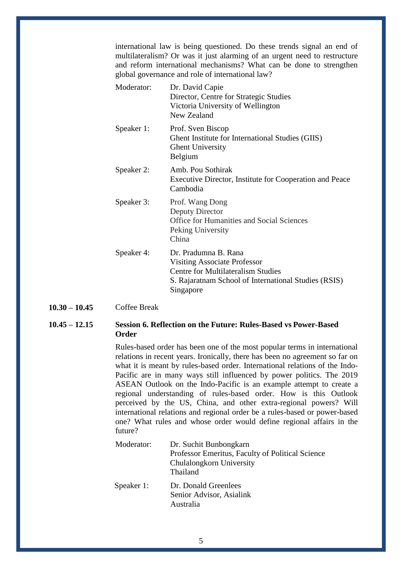international law is being questioned. Do these trends signal an end of multilateralism? Or was it just alarming of an urgent need to restructure and reform international mechanisms? What can be done to strengthen global governance and role of international law?

| Moderator: | Dr. David Capie<br>Director, Centre for Strategic Studies<br>Victoria University of Wellington<br>New Zealand                                                                 |
|------------|-------------------------------------------------------------------------------------------------------------------------------------------------------------------------------|
| Speaker 1: | Prof. Sven Biscop<br>Ghent Institute for International Studies (GIIS)<br><b>Ghent University</b><br>Belgium                                                                   |
| Speaker 2: | Amb. Pou Sothirak<br>Executive Director, Institute for Cooperation and Peace<br>Cambodia                                                                                      |
| Speaker 3: | Prof. Wang Dong<br>Deputy Director<br><b>Office for Humanities and Social Sciences</b><br>Peking University<br>China                                                          |
| Speaker 4: | Dr. Pradumna B. Rana<br><b>Visiting Associate Professor</b><br><b>Centre for Multilateralism Studies</b><br>S. Rajaratnam School of International Studies (RSIS)<br>Singapore |

**10.30 – 10.45** Coffee Break

# **10.45 – 12.15 Session 6. Reflection on the Future: Rules-Based vs Power-Based Order**

Rules-based order has been one of the most popular terms in international relations in recent years. Ironically, there has been no agreement so far on what it is meant by rules-based order. International relations of the Indo-Pacific are in many ways still influenced by power politics. The 2019 ASEAN Outlook on the Indo-Pacific is an example attempt to create a regional understanding of rules-based order. How is this Outlook perceived by the US, China, and other extra-regional powers? Will international relations and regional order be a rules-based or power-based one? What rules and whose order would define regional affairs in the future?

| Moderator: | Dr. Suchit Bunbongkarn<br>Professor Emeritus, Faculty of Political Science<br>Chulalongkorn University<br>Thailand |
|------------|--------------------------------------------------------------------------------------------------------------------|
| Speaker 1: | Dr. Donald Greenlees<br>Senior Advisor, Asialink<br>Australia                                                      |